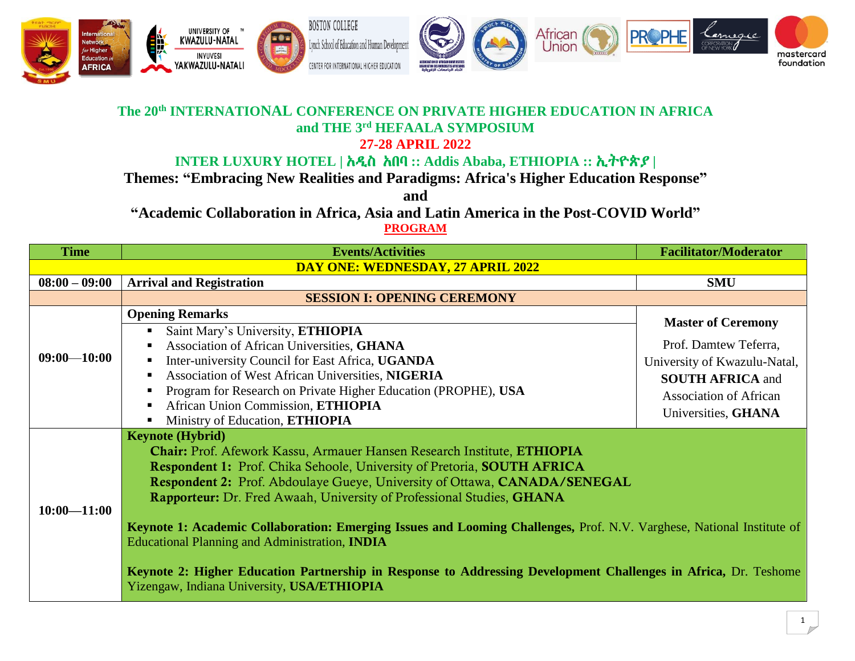

## **The 20th INTERNATIONAL CONFERENCE ON PRIVATE HIGHER EDUCATION IN AFRICA and THE 3 rd HEFAALA SYMPOSIUM 27-28 APRIL 2022**

## **INTER LUXURY HOTEL |** አዲስ አበባ **:: Addis Ababa, ETHIOPIA ::** ኢትዮጵያ **|**

**Themes: "Embracing New Realities and Paradigms: Africa's Higher Education Response"**

**and** 

**"Academic Collaboration in Africa, Asia and Latin America in the Post-COVID World"**

**PROGRAM**

| <b>Time</b>                       | <b>Events/Activities</b>                                                                                                                                                                                                                                                                                                                                                                                                                                                                                                                                                                                                                                                                                    | <b>Facilitator/Moderator</b>                                                                                                             |  |  |  |
|-----------------------------------|-------------------------------------------------------------------------------------------------------------------------------------------------------------------------------------------------------------------------------------------------------------------------------------------------------------------------------------------------------------------------------------------------------------------------------------------------------------------------------------------------------------------------------------------------------------------------------------------------------------------------------------------------------------------------------------------------------------|------------------------------------------------------------------------------------------------------------------------------------------|--|--|--|
| DAY ONE: WEDNESDAY, 27 APRIL 2022 |                                                                                                                                                                                                                                                                                                                                                                                                                                                                                                                                                                                                                                                                                                             |                                                                                                                                          |  |  |  |
| $08:00 - 09:00$                   | <b>Arrival and Registration</b>                                                                                                                                                                                                                                                                                                                                                                                                                                                                                                                                                                                                                                                                             | <b>SMU</b>                                                                                                                               |  |  |  |
|                                   | <b>SESSION I: OPENING CEREMONY</b>                                                                                                                                                                                                                                                                                                                                                                                                                                                                                                                                                                                                                                                                          |                                                                                                                                          |  |  |  |
|                                   | <b>Opening Remarks</b>                                                                                                                                                                                                                                                                                                                                                                                                                                                                                                                                                                                                                                                                                      | <b>Master of Ceremony</b>                                                                                                                |  |  |  |
| $09:00 - 10:00$                   | Saint Mary's University, ETHIOPIA<br>Association of African Universities, GHANA<br>Inter-university Council for East Africa, UGANDA<br>Association of West African Universities, NIGERIA<br>Program for Research on Private Higher Education (PROPHE), USA<br>African Union Commission, ETHIOPIA<br>Ministry of Education, ETHIOPIA                                                                                                                                                                                                                                                                                                                                                                         | Prof. Damtew Teferra,<br>University of Kwazulu-Natal,<br><b>SOUTH AFRICA and</b><br><b>Association of African</b><br>Universities, GHANA |  |  |  |
| $10:00 - 11:00$                   | <b>Keynote (Hybrid)</b><br><b>Chair:</b> Prof. Afework Kassu, Armauer Hansen Research Institute, ETHIOPIA<br>Respondent 1: Prof. Chika Sehoole, University of Pretoria, SOUTH AFRICA<br><b>Respondent 2:</b> Prof. Abdoulaye Gueye, University of Ottawa, <b>CANADA/SENEGAL</b><br>Rapporteur: Dr. Fred Awaah, University of Professional Studies, GHANA<br>Keynote 1: Academic Collaboration: Emerging Issues and Looming Challenges, Prof. N.V. Varghese, National Institute of<br><b>Educational Planning and Administration, INDIA</b><br>Keynote 2: Higher Education Partnership in Response to Addressing Development Challenges in Africa, Dr. Teshome<br>Yizengaw, Indiana University, USA/ETHIOPIA |                                                                                                                                          |  |  |  |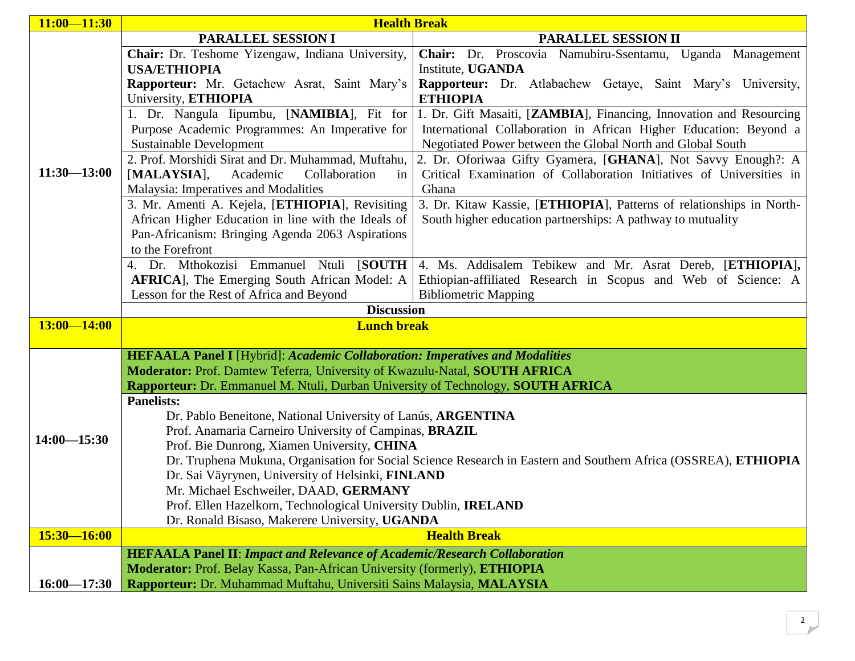| $11:00 - 11:30$ | <b>Health Break</b>                                                                                             |                                                                      |  |  |  |
|-----------------|-----------------------------------------------------------------------------------------------------------------|----------------------------------------------------------------------|--|--|--|
|                 | <b>PARALLEL SESSION I</b>                                                                                       | PARALLEL SESSION II                                                  |  |  |  |
|                 | Chair: Dr. Teshome Yizengaw, Indiana University,                                                                | Chair: Dr. Proscovia Namubiru-Ssentamu, Uganda Management            |  |  |  |
|                 | <b>USA/ETHIOPIA</b>                                                                                             | Institute, UGANDA                                                    |  |  |  |
|                 | Rapporteur: Mr. Getachew Asrat, Saint Mary's                                                                    | Rapporteur: Dr. Atlabachew Getaye, Saint Mary's University,          |  |  |  |
|                 | University, ETHIOPIA                                                                                            | <b>ETHIOPIA</b>                                                      |  |  |  |
|                 | 1. Dr. Nangula Iipumbu, [NAMIBIA], Fit for                                                                      | 1. Dr. Gift Masaiti, [ZAMBIA], Financing, Innovation and Resourcing  |  |  |  |
|                 | Purpose Academic Programmes: An Imperative for                                                                  | International Collaboration in African Higher Education: Beyond a    |  |  |  |
|                 | Sustainable Development                                                                                         | Negotiated Power between the Global North and Global South           |  |  |  |
|                 | 2. Prof. Morshidi Sirat and Dr. Muhammad, Muftahu,                                                              | 2. Dr. Oforiwaa Gifty Gyamera, [GHANA], Not Savvy Enough?: A         |  |  |  |
| $11:30 - 13:00$ | $[MALAYSIA]$ ,<br>Collaboration<br>Academic<br>in                                                               | Critical Examination of Collaboration Initiatives of Universities in |  |  |  |
|                 | Malaysia: Imperatives and Modalities                                                                            | Ghana                                                                |  |  |  |
|                 | 3. Mr. Amenti A. Kejela, [ETHIOPIA], Revisiting                                                                 | 3. Dr. Kitaw Kassie, [ETHIOPIA], Patterns of relationships in North- |  |  |  |
|                 | African Higher Education in line with the Ideals of                                                             | South higher education partnerships: A pathway to mutuality          |  |  |  |
|                 | Pan-Africanism: Bringing Agenda 2063 Aspirations                                                                |                                                                      |  |  |  |
|                 | to the Forefront                                                                                                |                                                                      |  |  |  |
|                 | 4. Dr. Mthokozisi Emmanuel Ntuli [SOUTH                                                                         | 4. Ms. Addisalem Tebikew and Mr. Asrat Dereb, [ETHIOPIA],            |  |  |  |
|                 | <b>AFRICA</b> ], The Emerging South African Model: A                                                            | Ethiopian-affiliated Research in Scopus and Web of Science: A        |  |  |  |
|                 | Lesson for the Rest of Africa and Beyond                                                                        | <b>Bibliometric Mapping</b>                                          |  |  |  |
|                 | <b>Discussion</b>                                                                                               |                                                                      |  |  |  |
| $13:00 - 14:00$ | <b>Lunch break</b>                                                                                              |                                                                      |  |  |  |
|                 |                                                                                                                 |                                                                      |  |  |  |
|                 | <b>HEFAALA Panel I</b> [Hybrid]: Academic Collaboration: Imperatives and Modalities                             |                                                                      |  |  |  |
|                 | Moderator: Prof. Damtew Teferra, University of Kwazulu-Natal, SOUTH AFRICA                                      |                                                                      |  |  |  |
|                 | Rapporteur: Dr. Emmanuel M. Ntuli, Durban University of Technology, SOUTH AFRICA                                |                                                                      |  |  |  |
|                 | <b>Panelists:</b>                                                                                               |                                                                      |  |  |  |
|                 | Dr. Pablo Beneitone, National University of Lanús, ARGENTINA                                                    |                                                                      |  |  |  |
| $14:00 - 15:30$ | Prof. Anamaria Carneiro University of Campinas, <b>BRAZIL</b>                                                   |                                                                      |  |  |  |
|                 | Prof. Bie Dunrong, Xiamen University, CHINA                                                                     |                                                                      |  |  |  |
|                 | Dr. Truphena Mukuna, Organisation for Social Science Research in Eastern and Southern Africa (OSSREA), ETHIOPIA |                                                                      |  |  |  |
|                 | Dr. Sai Väyrynen, University of Helsinki, FINLAND<br>Mr. Michael Eschweiler, DAAD, GERMANY                      |                                                                      |  |  |  |
|                 | Prof. Ellen Hazelkorn, Technological University Dublin, IRELAND                                                 |                                                                      |  |  |  |
|                 | Dr. Ronald Bisaso, Makerere University, UGANDA                                                                  |                                                                      |  |  |  |
| $15:30 - 16:00$ | <b>Health Break</b>                                                                                             |                                                                      |  |  |  |
|                 | <b>HEFAALA Panel II: Impact and Relevance of Academic/Research Collaboration</b>                                |                                                                      |  |  |  |
|                 | Moderator: Prof. Belay Kassa, Pan-African University (formerly), ETHIOPIA                                       |                                                                      |  |  |  |
| $16:00 - 17:30$ | Rapporteur: Dr. Muhammad Muftahu, Universiti Sains Malaysia, MALAYSIA                                           |                                                                      |  |  |  |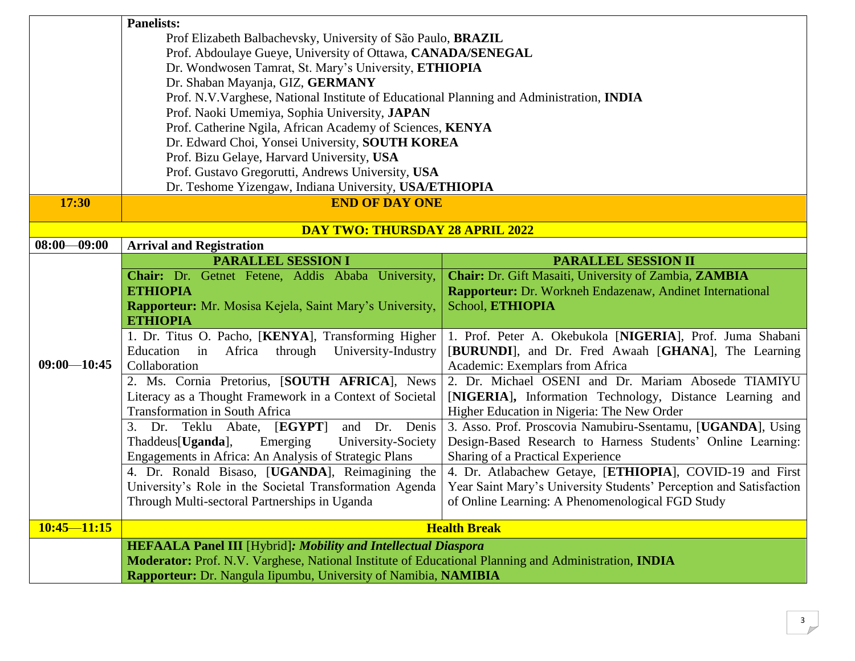|                 | <b>Panelists:</b>                                                                                                                                                       |                                                                    |  |  |  |
|-----------------|-------------------------------------------------------------------------------------------------------------------------------------------------------------------------|--------------------------------------------------------------------|--|--|--|
|                 | Prof Elizabeth Balbachevsky, University of São Paulo, <b>BRAZIL</b>                                                                                                     |                                                                    |  |  |  |
|                 | Prof. Abdoulaye Gueye, University of Ottawa, CANADA/SENEGAL                                                                                                             |                                                                    |  |  |  |
|                 | Dr. Wondwosen Tamrat, St. Mary's University, ETHIOPIA                                                                                                                   |                                                                    |  |  |  |
|                 | Dr. Shaban Mayanja, GIZ, GERMANY                                                                                                                                        |                                                                    |  |  |  |
|                 | Prof. N.V. Varghese, National Institute of Educational Planning and Administration, INDIA                                                                               |                                                                    |  |  |  |
|                 | Prof. Naoki Umemiya, Sophia University, JAPAN                                                                                                                           |                                                                    |  |  |  |
|                 | Prof. Catherine Ngila, African Academy of Sciences, KENYA                                                                                                               |                                                                    |  |  |  |
|                 | Dr. Edward Choi, Yonsei University, SOUTH KOREA                                                                                                                         |                                                                    |  |  |  |
|                 | Prof. Bizu Gelaye, Harvard University, USA                                                                                                                              |                                                                    |  |  |  |
|                 | Prof. Gustavo Gregorutti, Andrews University, USA                                                                                                                       |                                                                    |  |  |  |
|                 | Dr. Teshome Yizengaw, Indiana University, USA/ETHIOPIA                                                                                                                  |                                                                    |  |  |  |
| 17:30           | <b>END OF DAY ONE</b>                                                                                                                                                   |                                                                    |  |  |  |
|                 | <b>DAY TWO: THURSDAY 28 APRIL 2022</b>                                                                                                                                  |                                                                    |  |  |  |
| $08:00 - 09:00$ | <b>Arrival and Registration</b>                                                                                                                                         |                                                                    |  |  |  |
|                 | <b>PARALLEL SESSION I</b>                                                                                                                                               | <b>PARALLEL SESSION II</b>                                         |  |  |  |
|                 | Chair: Dr. Getnet Fetene, Addis Ababa University,                                                                                                                       | Chair: Dr. Gift Masaiti, University of Zambia, ZAMBIA              |  |  |  |
|                 | <b>ETHIOPIA</b>                                                                                                                                                         | Rapporteur: Dr. Workneh Endazenaw, Andinet International           |  |  |  |
|                 | Rapporteur: Mr. Mosisa Kejela, Saint Mary's University,                                                                                                                 | School, ETHIOPIA                                                   |  |  |  |
|                 | <b>ETHIOPIA</b>                                                                                                                                                         |                                                                    |  |  |  |
|                 | 1. Dr. Titus O. Pacho, [KENYA], Transforming Higher                                                                                                                     | 1. Prof. Peter A. Okebukola [NIGERIA], Prof. Juma Shabani          |  |  |  |
|                 | Education<br>through<br>in<br>Africa<br>University-Industry<br>[BURUNDI], and Dr. Fred Awaah [GHANA], The Learning                                                      |                                                                    |  |  |  |
| $09:00 - 10:45$ | Collaboration<br>Academic: Exemplars from Africa                                                                                                                        |                                                                    |  |  |  |
|                 | 2. Ms. Cornia Pretorius, [SOUTH AFRICA], News                                                                                                                           |                                                                    |  |  |  |
|                 |                                                                                                                                                                         | 2. Dr. Michael OSENI and Dr. Mariam Abosede TIAMIYU                |  |  |  |
|                 | Literacy as a Thought Framework in a Context of Societal                                                                                                                | [NIGERIA], Information Technology, Distance Learning and           |  |  |  |
|                 | <b>Transformation in South Africa</b>                                                                                                                                   | Higher Education in Nigeria: The New Order                         |  |  |  |
|                 | [EGYPT]<br>Dr. Denis<br>and<br>3.<br>Dr. Teklu Abate,                                                                                                                   | 3. Asso. Prof. Proscovia Namubiru-Ssentamu, [UGANDA], Using        |  |  |  |
|                 | Emerging<br>Thaddeus[Uganda],<br>University-Society                                                                                                                     | Design-Based Research to Harness Students' Online Learning:        |  |  |  |
|                 | Engagements in Africa: An Analysis of Strategic Plans                                                                                                                   | Sharing of a Practical Experience                                  |  |  |  |
|                 | 4. Dr. Ronald Bisaso, [UGANDA], Reimagining the                                                                                                                         |                                                                    |  |  |  |
|                 | University's Role in the Societal Transformation Agenda                                                                                                                 | Year Saint Mary's University Students' Perception and Satisfaction |  |  |  |
|                 | Through Multi-sectoral Partnerships in Uganda                                                                                                                           | of Online Learning: A Phenomenological FGD Study                   |  |  |  |
| $10:45 - 11:15$ |                                                                                                                                                                         | <b>Health Break</b>                                                |  |  |  |
|                 | <b>HEFAALA Panel III</b> [Hybrid]: Mobility and Intellectual Diaspora                                                                                                   | 4. Dr. Atlabachew Getaye, [ETHIOPIA], COVID-19 and First           |  |  |  |
|                 | Moderator: Prof. N.V. Varghese, National Institute of Educational Planning and Administration, INDIA<br>Rapporteur: Dr. Nangula Iipumbu, University of Namibia, NAMIBIA |                                                                    |  |  |  |